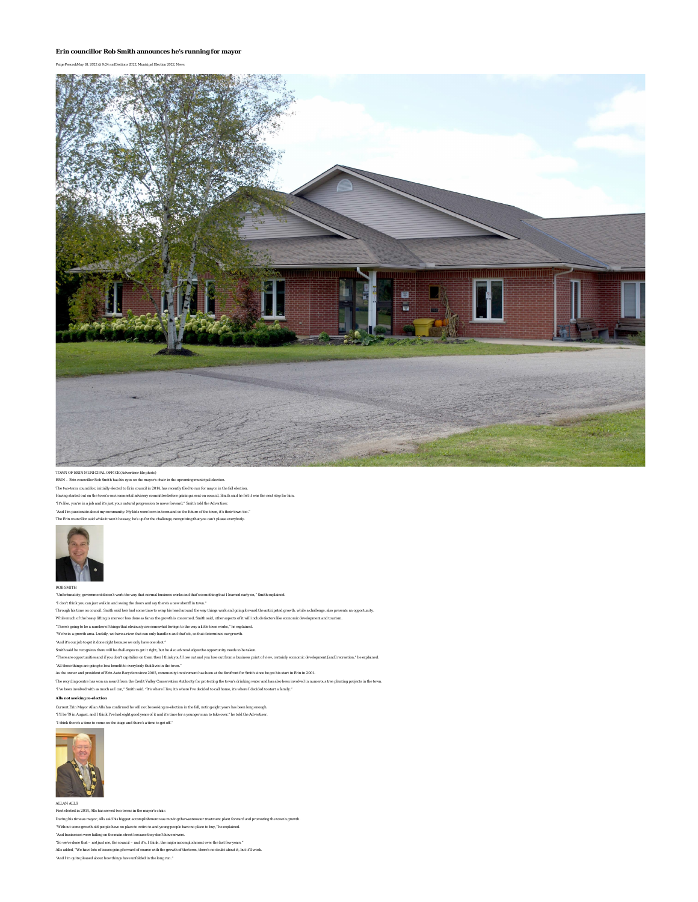## **Erin councillor Rob Smith announces he's running for mayor**

*Paige PeacockMay 18, 2022 @ 9:24 amElections 2022, Municipal Election 2022, News*



## TOWN OF ERIN MUNICIPAL OFFICE (Advertiser file photo)

ERIN – Erin councillor Rob Smith has his eyes on the mayor's chair in the upcoming municipal election.

The two-term councillor, initially elected to Erin council in 2014, has recently filed to run for mayor in the fall election. Having started out on the town's environmental advisory committee before gaining a seat on council, Smith said he felt it was the next step for him.

"It's like, you're in a job and it's just your natural progression to move forward," Smith told the *Advertiser.*

"And I'm passionate about my community. My kids were born in town and so the future of the town, it's their town too."

The Erin councillor said while it won't be easy, he's up for the challenge, recognizing that you can't please everybody.



## ROB SMITH

.<br>Infortunation work that is something that I learned early on," Smith explained.

\*I don't think you can just walk in and swing the doors and say there's a new sheriff in town."<br>Through his time on council, Smith said he's had some time to wap his head around the work and going forward the anticipated g

While much of the heavy lifting is more or less done as far as the growth is concerned, Smith said, other aspects of it will include factors like economic development and tourism.

"There's going to be a number of things that obviously are somewhat foreign to the way a little town works," he explained.

"We're in a growth area. Luckily, we have a river that can only handle x and that's it, so that determines our growth.

"And it's our job to get it done right because we only have one shot."

Smith said he recognizes there will be challenges to get it right, but he also acknowledges the opportunity needs to be taken.

"There are opportunities and if you don't capitalize on them then I think you'll lose out and you lose out from a business point of view, certainly economic development [and] recreation

"All those things are going to be a benefit to everybody that lives in the town."

As the owner and president of Erin Auto Recyclers since 2005, community involvement has been at the forefront for Smith since he got his start in Erin in 2001.

The recycling centre has won an award from the Credit Valley Conservation Authority for protecting the town's drinking water and has also been involved in numerous tree planting projects in the town.

"I've been involved with as much as I can," Smith said. "It's where I live, it's where I've decided to call home, it's where I decided to start a family."

**Alls not seeking re-election**

Current Erin Mayor Allan Alls has confirmed he will not be seeking re-election in the fall, noting eight years has been long enough.

"I'll be 79 in August, and I think I've had eight good years of it and it's time for a younger man to take over," he told the *Advertiser.*

"I think there's a time to come on the stage and there's a time to get off."



ALLAN ALLS

First elected in 2014, Alls has served two terms in the mayor's chair.

During his time as mayor, Alls said his biggest accomplishment was moving the wastewater treatment plant forward and promoting the town's growth.

"Without some growth old people have no place to retire to and young people have no place to buy," he explained.

"And businesses were failing on the main street because they don't have sewers.

"So we've done that – not just me, the council – and it's, I think, the major accomplishment over the last few years."

Alls added, "We have lots of issues going forward of course with the growth of the town, there's no doubt about it, but it'll work.

"And I'm quite pleased about how things have unfolded in the long run."